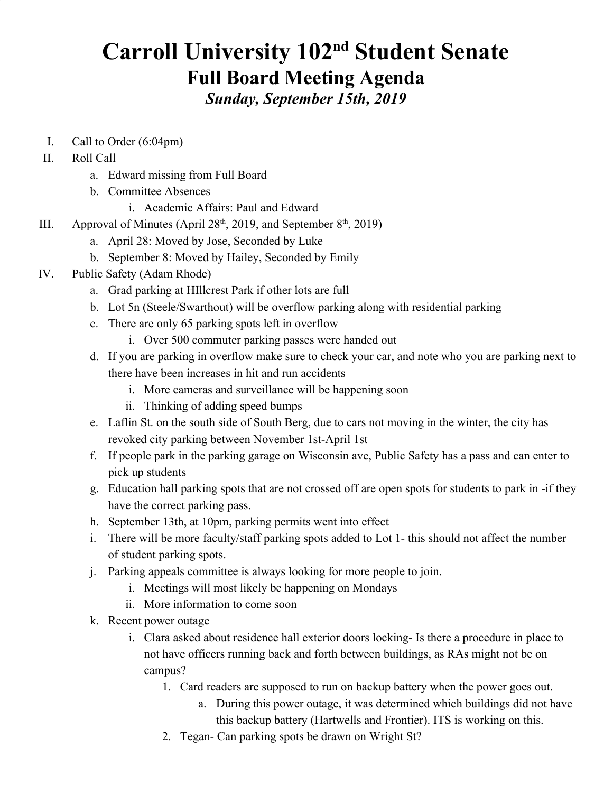# **Carroll University 102<sup>nd</sup> Student Senate Full Board Meeting Agenda** *Sunday, September 15th, 2019*

- I. Call to Order (6:04pm)
- II. Roll Call
	- a. Edward missing from Full Board
	- b. Committee Absences
		- i. Academic Affairs: Paul and Edward
- III. Approval of Minutes (April  $28<sup>th</sup>$ , 2019, and September  $8<sup>th</sup>$ , 2019)
	- a. April 28: Moved by Jose, Seconded by Luke
	- b. September 8: Moved by Hailey, Seconded by Emily
- IV. Public Safety (Adam Rhode)
	- a. Grad parking at HIllcrest Park if other lots are full
	- b. Lot 5n (Steele/Swarthout) will be overflow parking along with residential parking
	- c. There are only 65 parking spots left in overflow
		- i. Over 500 commuter parking passes were handed out
	- d. If you are parking in overflow make sure to check your car, and note who you are parking next to there have been increases in hit and run accidents
		- i. More cameras and surveillance will be happening soon
		- ii. Thinking of adding speed bumps
	- e. Laflin St. on the south side of South Berg, due to cars not moving in the winter, the city has revoked city parking between November 1st-April 1st
	- f. If people park in the parking garage on Wisconsin ave, Public Safety has a pass and can enter to pick up students
	- g. Education hall parking spots that are not crossed off are open spots for students to park in -if they have the correct parking pass.
	- h. September 13th, at 10pm, parking permits went into effect
	- i. There will be more faculty/staff parking spots added to Lot 1- this should not affect the number of student parking spots.
	- j. Parking appeals committee is always looking for more people to join.
		- i. Meetings will most likely be happening on Mondays
		- ii. More information to come soon
	- k. Recent power outage
		- i. Clara asked about residence hall exterior doors locking- Is there a procedure in place to not have officers running back and forth between buildings, as RAs might not be on campus?
			- 1. Card readers are supposed to run on backup battery when the power goes out.
				- a. During this power outage, it was determined which buildings did not have this backup battery (Hartwells and Frontier). ITS is working on this.
			- 2. Tegan- Can parking spots be drawn on Wright St?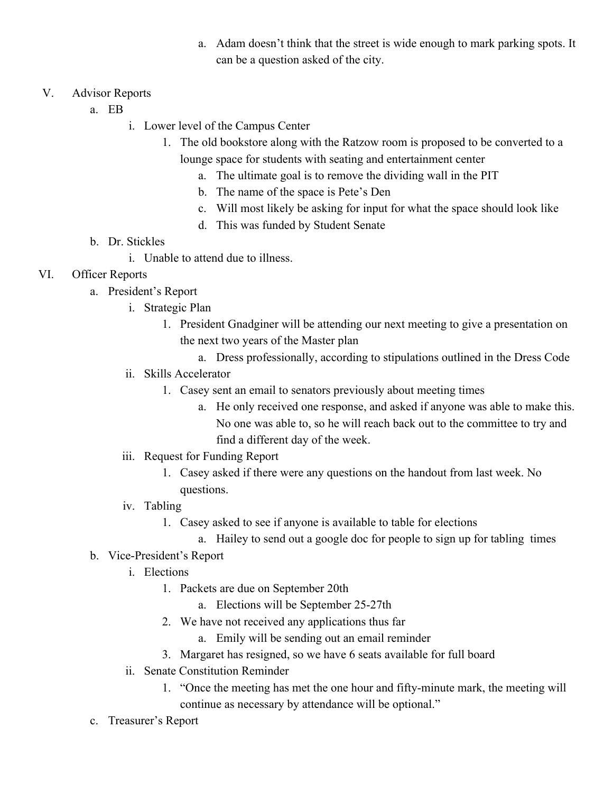a. Adam doesn't think that the street is wide enough to mark parking spots. It can be a question asked of the city.

## V. Advisor Reports

- a. EB
	- i. Lower level of the Campus Center
		- 1. The old bookstore along with the Ratzow room is proposed to be converted to a lounge space for students with seating and entertainment center
			- a. The ultimate goal is to remove the dividing wall in the PIT
			- b. The name of the space is Pete's Den
			- c. Will most likely be asking for input for what the space should look like
			- d. This was funded by Student Senate

## b. Dr. Stickles

i. Unable to attend due to illness.

## VI. Officer Reports

- a. President's Report
	- i. Strategic Plan
		- 1. President Gnadginer will be attending our next meeting to give a presentation on the next two years of the Master plan
			- a. Dress professionally, according to stipulations outlined in the Dress Code
	- ii. Skills Accelerator
		- 1. Casey sent an email to senators previously about meeting times
			- a. He only received one response, and asked if anyone was able to make this. No one was able to, so he will reach back out to the committee to try and find a different day of the week.
	- iii. Request for Funding Report
		- 1. Casey asked if there were any questions on the handout from last week. No questions.
	- iv. Tabling
		- 1. Casey asked to see if anyone is available to table for elections
			- a. Hailey to send out a google doc for people to sign up for tabling times

#### b. Vice-President's Report

- i. Elections
	- 1. Packets are due on September 20th
		- a. Elections will be September 25-27th
	- 2. We have not received any applications thus far
		- a. Emily will be sending out an email reminder
	- 3. Margaret has resigned, so we have 6 seats available for full board
- ii. Senate Constitution Reminder
	- 1. "Once the meeting has met the one hour and fifty-minute mark, the meeting will continue as necessary by attendance will be optional."
- c. Treasurer's Report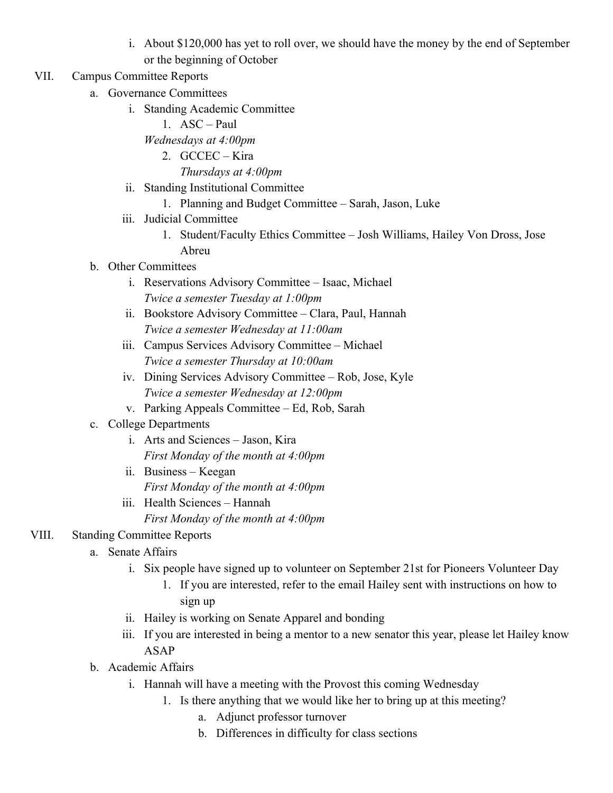- i. About \$120,000 has yet to roll over, we should have the money by the end of September or the beginning of October
- VII. Campus Committee Reports
	- a. Governance Committees
		- i. Standing Academic Committee
			- 1. ASC Paul
			- *Wednesdays at 4:00pm*
				- 2. GCCEC Kira *Thursdays at 4:00pm*
		- ii. Standing Institutional Committee
			- 1. Planning and Budget Committee Sarah, Jason, Luke
		- iii. Judicial Committee
			- 1. Student/Faculty Ethics Committee Josh Williams, Hailey Von Dross, Jose Abreu
	- b. Other Committees
		- i. Reservations Advisory Committee Isaac, Michael *Twice a semester Tuesday at 1:00pm*
		- ii. Bookstore Advisory Committee Clara, Paul, Hannah *Twice a semester Wednesday at 11:00am*
		- iii. Campus Services Advisory Committee Michael *Twice a semester Thursday at 10:00am*
		- iv. Dining Services Advisory Committee Rob, Jose, Kyle *Twice a semester Wednesday at 12:00pm*
		- v. Parking Appeals Committee Ed, Rob, Sarah
	- c. College Departments
		- i. Arts and Sciences Jason, Kira *First Monday of the month at 4:00pm*
		- ii. Business Keegan *First Monday of the month at 4:00pm*
		- iii. Health Sciences Hannah *First Monday of the month at 4:00pm*

# VIII. Standing Committee Reports

- a. Senate Affairs
	- i. Six people have signed up to volunteer on September 21st for Pioneers Volunteer Day
		- 1. If you are interested, refer to the email Hailey sent with instructions on how to sign up
	- ii. Hailey is working on Senate Apparel and bonding
	- iii. If you are interested in being a mentor to a new senator this year, please let Hailey know ASAP
- b. Academic Affairs
	- i. Hannah will have a meeting with the Provost this coming Wednesday
		- 1. Is there anything that we would like her to bring up at this meeting?
			- a. Adjunct professor turnover
			- b. Differences in difficulty for class sections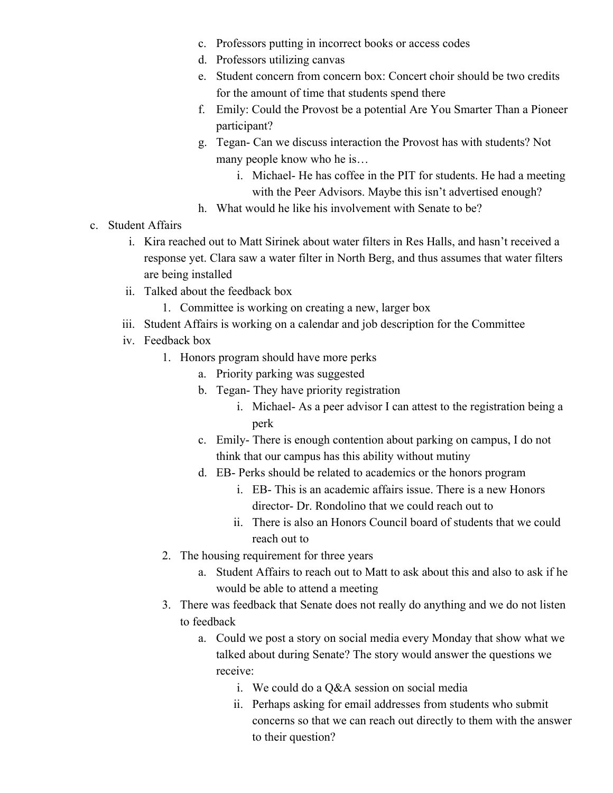- c. Professors putting in incorrect books or access codes
- d. Professors utilizing canvas
- e. Student concern from concern box: Concert choir should be two credits for the amount of time that students spend there
- f. Emily: Could the Provost be a potential Are You Smarter Than a Pioneer participant?
- g. Tegan- Can we discuss interaction the Provost has with students? Not many people know who he is…
	- i. Michael- He has coffee in the PIT for students. He had a meeting with the Peer Advisors. Maybe this isn't advertised enough?
- h. What would he like his involvement with Senate to be?
- c. Student Affairs
	- i. Kira reached out to Matt Sirinek about water filters in Res Halls, and hasn't received a response yet. Clara saw a water filter in North Berg, and thus assumes that water filters are being installed
	- ii. Talked about the feedback box
		- 1. Committee is working on creating a new, larger box
	- iii. Student Affairs is working on a calendar and job description for the Committee
	- iv. Feedback box
		- 1. Honors program should have more perks
			- a. Priority parking was suggested
			- b. Tegan- They have priority registration
				- i. Michael- As a peer advisor I can attest to the registration being a perk
			- c. Emily- There is enough contention about parking on campus, I do not think that our campus has this ability without mutiny
			- d. EB- Perks should be related to academics or the honors program
				- i. EB- This is an academic affairs issue. There is a new Honors director- Dr. Rondolino that we could reach out to
				- ii. There is also an Honors Council board of students that we could reach out to
		- 2. The housing requirement for three years
			- a. Student Affairs to reach out to Matt to ask about this and also to ask if he would be able to attend a meeting
		- 3. There was feedback that Senate does not really do anything and we do not listen to feedback
			- a. Could we post a story on social media every Monday that show what we talked about during Senate? The story would answer the questions we receive:
				- i. We could do a Q&A session on social media
				- ii. Perhaps asking for email addresses from students who submit concerns so that we can reach out directly to them with the answer to their question?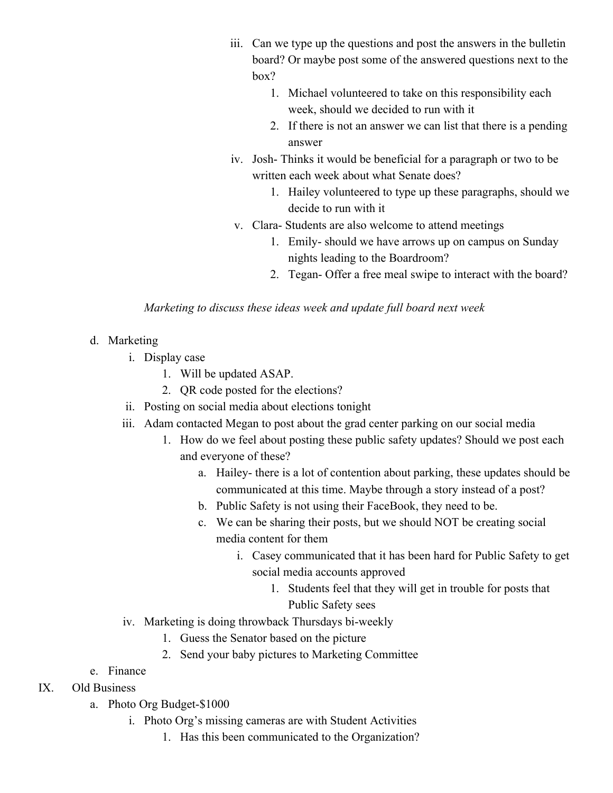- iii. Can we type up the questions and post the answers in the bulletin board? Or maybe post some of the answered questions next to the box?
	- 1. Michael volunteered to take on this responsibility each week, should we decided to run with it
	- 2. If there is not an answer we can list that there is a pending answer
- iv. Josh- Thinks it would be beneficial for a paragraph or two to be written each week about what Senate does?
	- 1. Hailey volunteered to type up these paragraphs, should we decide to run with it
- v. Clara- Students are also welcome to attend meetings
	- 1. Emily- should we have arrows up on campus on Sunday nights leading to the Boardroom?
	- 2. Tegan- Offer a free meal swipe to interact with the board?

## *Marketing to discuss these ideas week and update full board next week*

## d. Marketing

- i. Display case
	- 1. Will be updated ASAP.
	- 2. QR code posted for the elections?
- ii. Posting on social media about elections tonight
- iii. Adam contacted Megan to post about the grad center parking on our social media
	- 1. How do we feel about posting these public safety updates? Should we post each and everyone of these?
		- a. Hailey- there is a lot of contention about parking, these updates should be communicated at this time. Maybe through a story instead of a post?
		- b. Public Safety is not using their FaceBook, they need to be.
		- c. We can be sharing their posts, but we should NOT be creating social media content for them
			- i. Casey communicated that it has been hard for Public Safety to get social media accounts approved
				- 1. Students feel that they will get in trouble for posts that Public Safety sees
- iv. Marketing is doing throwback Thursdays bi-weekly
	- 1. Guess the Senator based on the picture
	- 2. Send your baby pictures to Marketing Committee
- e. Finance
- IX. Old Business
	- a. Photo Org Budget-\$1000
		- i. Photo Org's missing cameras are with Student Activities
			- 1. Has this been communicated to the Organization?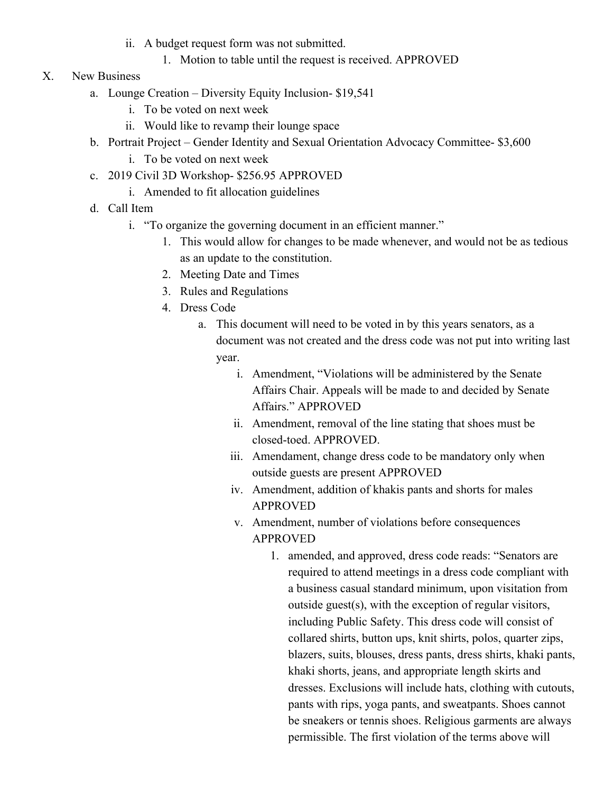- ii. A budget request form was not submitted.
	- 1. Motion to table until the request is received. APPROVED
- X. New Business
	- a. Lounge Creation Diversity Equity Inclusion- \$19,541
		- i. To be voted on next week
		- ii. Would like to revamp their lounge space
	- b. Portrait Project Gender Identity and Sexual Orientation Advocacy Committee- \$3,600
		- i. To be voted on next week
	- c. 2019 Civil 3D Workshop- \$256.95 APPROVED
		- i. Amended to fit allocation guidelines
	- d. Call Item
		- i. "To organize the governing document in an efficient manner."
			- 1. This would allow for changes to be made whenever, and would not be as tedious as an update to the constitution.
			- 2. Meeting Date and Times
			- 3. Rules and Regulations
			- 4. Dress Code
				- a. This document will need to be voted in by this years senators, as a document was not created and the dress code was not put into writing last year.
					- i. Amendment, "Violations will be administered by the Senate Affairs Chair. Appeals will be made to and decided by Senate Affairs." APPROVED
					- ii. Amendment, removal of the line stating that shoes must be closed-toed. APPROVED.
					- iii. Amendament, change dress code to be mandatory only when outside guests are present APPROVED
					- iv. Amendment, addition of khakis pants and shorts for males APPROVED
					- v. Amendment, number of violations before consequences APPROVED
						- 1. amended, and approved, dress code reads: "Senators are required to attend meetings in a dress code compliant with a business casual standard minimum, upon visitation from outside guest(s), with the exception of regular visitors, including Public Safety. This dress code will consist of collared shirts, button ups, knit shirts, polos, quarter zips, blazers, suits, blouses, dress pants, dress shirts, khaki pants, khaki shorts, jeans, and appropriate length skirts and dresses. Exclusions will include hats, clothing with cutouts, pants with rips, yoga pants, and sweatpants. Shoes cannot be sneakers or tennis shoes. Religious garments are always permissible. The first violation of the terms above will